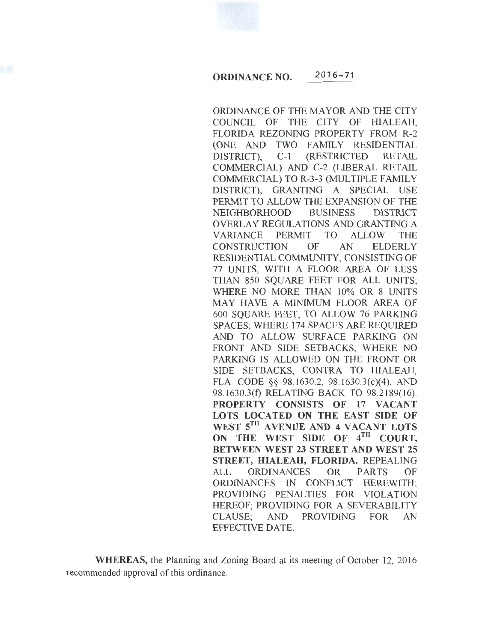

## ORDINANCE NO. 2016-71

ORDINANCE OF THE MAYOR AND THE CITY COUNCIL OF THE CITY OF HIALEAH, FLORIDA REZONING PROPERTY FROM R-2 (ONE AND TWO FAMILY RESIDENTIAL DISTRICT), C-1 (RESTRICTED RETAIL COMMERCIAL) AND C-2 (LIBERAL RETAIL COMMERCIAL) TO R-3-3 (MULTIPLE FAMILY DISTRICT); GRANTING A SPECIAL USE PERMIT TO ALLOW THE EXPANSION OF THE NEIGHBORHOOD BUSINESS DISTRICT OVERLAY REGULATIONS AND GRANTING A VARIANCE PERMIT TO ALLOW THE CONSTRUCTION OF AN ELDERLY RESIDENTIAL COMMUNITY, CONSISTING OF 77 UNITS, WITH A FLOOR AREA OF LESS THAN 850 SQUARE FEET FOR ALL UNITS; WHERE NO MORE THAN 10% OR 8 UNITS MAY HAVE A MINIMUM FLOOR AREA OF 600 SQUARE FEET, TO ALLOW 76 PARKING SPACES; WHERE 174 SPACES ARE REQUIRED AND TO ALLOW SURFACE PARKING ON FRONT AND SIDE SETBACKS, WHERE NO PARKING IS ALLOWED ON THE FRONT OR SIDE SETBACKS, CONTRA TO HIALEAH, FLA. CODE §§ 98.1630.2, 98.1630.3(e)(4), AND 98.1630.3(f) RELATING BACK TO 98.2189(16). PROPERTY CONSISTS OF 17 VACANT LOTS LOCATED ON THE EAST SIDE OF WEST 5TH AVENUE AND 4 VACANT LOTS ON THE WEST SIDE OF 4TH COURT, BETWEEN WEST 23 STREET AND WEST 25 STREET, HIALEAH, FLORIDA. REPEALING ALL ORDINANCES OR PARTS OF ORDINANCES IN CONFLICT HEREWITH; PROVIDING PENALTIES FOR VIOLATION HEREOF; PROVIDING FOR A SEVERABILITY CLAUSE; AND PROVIDING FOR AN EFFECTIVE DATE.

WHEREAS, the Planning and Zoning Board at its meeting of October 12, 2016 recommended approval of this ordinance.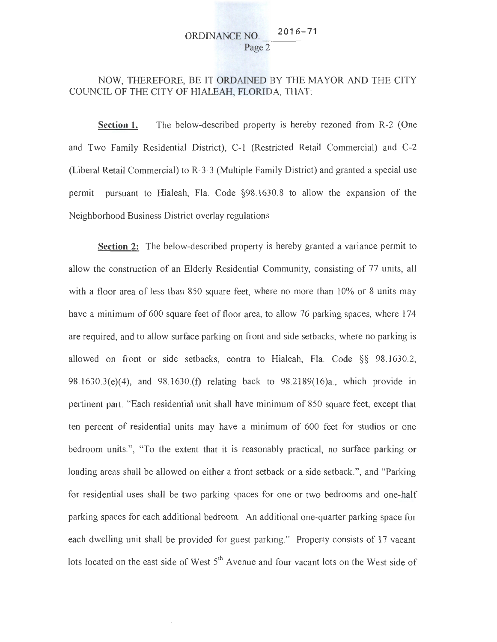# ORDINANCE NO. **<sup>2</sup> <sup>01</sup> 6-71** ---- Page 2

## NOW, THEREFORE, BE IT ORDAINED BY THE MAYOR AND THE CITY COUNCil., OF THE CITY OF HIALEAH, FLORIDA, THAT:

**Section 1.** The below-described property is hereby rezoned from R-2 (One and Two Family Residential District), C-1 (Restricted Retail Commercial) and C-2 (Liberal Retail Commercial) to R-3-3 (Multiple Family District) and granted a special use permit pursuant to Hialeah, Fla. Code §98.1630.8 to allow the expansion of the Neighborhood Business District overlay regulations.

**Section** 2: The below-described property is hereby granted a variance permit to allow the construction of an Elderly Residential Community, consisting of 77 units, all with a floor area of less than 850 square feet, where no more than 10% or 8 units may have a minimum of 600 square feet of floor area, to allow 76 parking spaces, where 174 are required, and to allow surface parking on front and side setbacks, where no parking is allowed on front or side setbacks, contra to Hialeah, Fla. Code §§ 98.1630.2, 98.1630.3(e)(4), and 98.1630.(£) relating back to 98.2189(16)a., which provide in pertinent part: "Each residential unit shall have minimum of 850 square feet, except that ten percent of residential units may have a minimum of 600 feet for studios or one bedroom units.", "To the extent that it is reasonably practical, no surface parking or loading areas shall be allowed on either a front setback or a side setback.", and "Parking for residential uses shall be two parking spaces for one or two bedrooms and one-half parking spaces for each additional bedroom. An additional one-quarter parking space for each dwelling unit shall be provided for guest parking." Property consists of 17 vacant lots located on the east side of West  $5<sup>th</sup>$  Avenue and four vacant lots on the West side of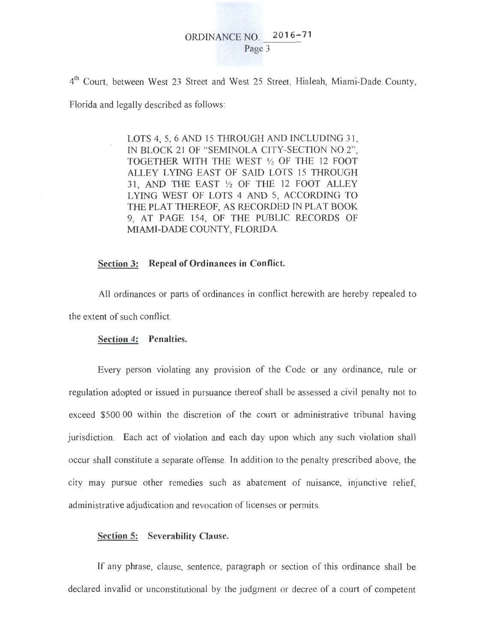# ORDINANCE NO. **2 01 6-71**  Page 3

4th Court, between West 23 Street and West 25 Street, Hialeah, Miami-Dade County,

Florida and legally described as follows:

LOTS 4, 5, 6 AND 15 THROUGH AND INCLUDING 31, IN BLOCK 21 OF "SEMINOLA CITY-SECTION N0.2", TOGETHER WITH THE WEST *Yz* OF THE 12 FOOT ALLEY LYING EAST OF SAID LOTS 15 THROUGH 31 , AND THE EAST *Yz* OF THE 12 FOOT ALLEY LYING WEST OF LOTS 4 AND 5, ACCORDING TO THE PLAT THEREOF, AS RECORDED IN PLAT BOOK 9, AT PAGE 154, OF THE PUBLIC RECORDS OF MIAMI-DADE COUNTY, FLORIDA.

### **Section 3: Repeal of Ordinances in Conflict.**

All ordinances or parts of ordinances in conflict herewith are hereby repealed to the extent of such conflict.

#### **Section 4: Penalties.**

Every person violating any provision of the Code or any ordinance, rule or regulation adopted or issued in pursuance thereof shall be assessed a civil penalty not to exceed \$500.00 within the discretion of the court or administrative tribunal having jurisdiction. Each act of violation and each day upon which any such violation shall occur shall constitute a separate offense. In addition to the penalty prescribed above, the city may pursue other remedies such as abatement of nuisance, injunctive relief, administrative adjudication and revocation of licenses or permits.

#### **Section 5: Severability Clause.**

If any phrase, clause, sentence, paragraph or section of this ordinance shall be declared invalid or unconstitutional by the judgment or decree of a court of competent